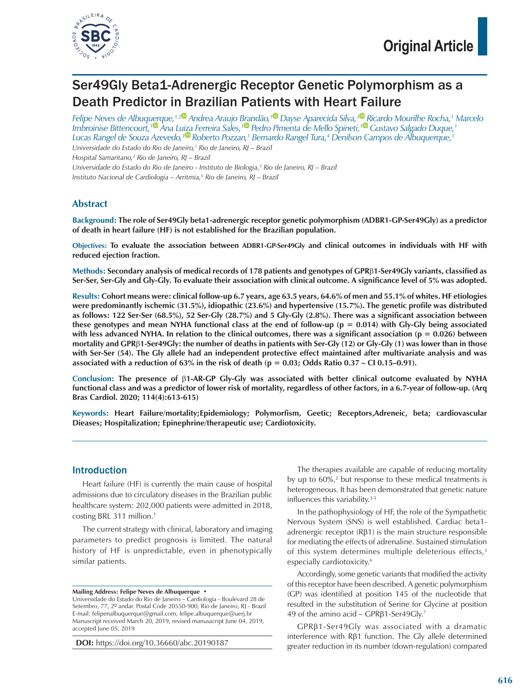

# Ser49Gly Beta1-Adrenergic Receptor Genetic Polymorphism as a Death Predictor in Brazilian Patients with Heart Failure

*Felipe Neves de Albuquerque,1,[2](https://orcid.org/0000-0001-8692-1115) Andrea Araujo Brandão,[1](https://orcid.org/0000-0002-7040-396X) Dayse Aparecida Silva,[3](https://orcid.org/0000-0003-3805-2837) Ricardo Mourilhe Rocha,1 Marcelo Imbroinise Bittencourt,[1 A](https://orcid.org/0000-0003-1206-9489)na Luiza Ferreira Sales,[1](https://orcid.org/0000-0002-2591-2773) Pedro Pimenta de Mello Spineti,[1](https://orcid.org/0000-0001-9891-676X) Gustavo Salgado Duque,1 Lucas Rangel de Souza Azevedo,[1](https://orcid.org/0000-0002-6931-7474) Roberto Pozzan,1 Bernardo Rangel Tura,4 Denilson Campos de Albuquerque,1*

*Universidade do Estado do Rio de Janeiro,1 Rio de Janeiro, RJ – Brazil*

*Hospital Samaritano,2 Rio de Janeiro, RJ – Brazil*

*Universidade do Estado do Rio de Janeiro - Instituto de Biologia,3 Rio de Janeiro, RJ – Brazil*

*Instituto Nacional de Cardiologia – Arritmia,6 Rio de Janeiro, RJ – Brazil*

## **Abstract**

**Background: The role of Ser49Gly beta1-adrenergic receptor genetic polymorphism (ADBR1-GP-Ser49Gly) as a predictor of death in heart failure (HF) is not established for the Brazilian population.**

**Objectives: To evaluate the association between ADBR1-GP-Ser49Gly and clinical outcomes in individuals with HF with reduced ejection fraction.**

**Methods: Secondary analysis of medical records of 178 patients and genotypes of GPR**β**1-Ser49Gly variants, classified as Ser-Ser, Ser-Gly and Gly-Gly. To evaluate their association with clinical outcome. A significance level of 5% was adopted.**

**Results: Cohort means were: clinical follow-up 6.7 years, age 63.5 years, 64.6% of men and 55.1% of whites. HF etiologies were predominantly ischemic (31.5%), idiopathic (23.6%) and hypertensive (15.7%). The genetic profile was distributed as follows: 122 Ser-Ser (68.5%), 52 Ser-Gly (28.7%) and 5 Gly-Gly (2.8%). There was a significant association between these genotypes and mean NYHA functional class at the end of follow-up (p = 0.014) with Gly-Gly being associated with less advanced NYHA. In relation to the clinical outcomes, there was a significant association (p = 0.026) between mortality and GPR**β**1-Ser49Gly: the number of deaths in patients with Ser-Gly (12) or Gly-Gly (1) was lower than in those with Ser-Ser (54). The Gly allele had an independent protective effect maintained after multivariate analysis and was associated with a reduction of 63% in the risk of death (p = 0.03; Odds Ratio 0.37 – CI 0.15–0.91).**

**Conclusion: The presence of** β**1-AR-GP Gly-Gly was associated with better clinical outcome evaluated by NYHA functional class and was a predictor of lower risk of mortality, regardless of other factors, in a 6.7-year of follow-up. (Arq Bras Cardiol. 2020; 114(4):613-615)**

**Keywords: Heart Failure/mortality;Epidemiology; Polymorfism, Geetic; Receptors,Adreneic, beta; cardiovascular Dieases; Hospitalization; Epinephrine/therapeutic use; Cardiotoxicity.**

### Introduction

Heart failure (HF) is currently the main cause of hospital admissions due to circulatory diseases in the Brazilian public healthcare system: 202,000 patients were admitted in 2018, costing BRL 311 million.<sup>1</sup>

The current strategy with clinical, laboratory and imaging parameters to predict prognosis is limited. The natural history of HF is unpredictable, even in phenotypically similar patients.

#### **Mailing Address: Felipe Neves de Albuquerque •**

Universidade do Estado do Rio de Janeiro – Cardiologia - Boulevard 28 de Setembro, 77, 2º andar. Postal Code 20550-900, Rio de Janeiro, RJ - Brazil E-mail: felipenalbuquerque@gmail.com, [felipe.albuquerque@uerj.br](mailto:felipe.albuquerque@uerj.br) Manuscript received March 20, 2019, revised manusacript June 04, 2019, accepted June 05, 2019

**DOI:** <https://doi.org/10.36660/abc.20190187>

The therapies available are capable of reducing mortality by up to 60%,<sup>2</sup> but response to these medical treatments is heterogeneous. It has been demonstrated that genetic nature influences this variability.3-5

In the pathophysiology of HF, the role of the Sympathetic Nervous System (SNS) is well established. Cardiac beta1 adrenergic receptor (Rβ1) is the main structure responsible for mediating the effects of adrenaline. Sustained stimulation of this system determines multiple deleterious effects,<sup>3</sup> especially cardiotoxicity.6

Accordingly, some genetic variants that modified the activity of this receptor have been described. A genetic polymorphism (GP) was identified at position 145 of the nucleotide that resulted in the substitution of Serine for Glycine at position 49 of the amino acid – GPRβ1-Ser49Gly.7

GPRβ1-Ser49Gly was associated with a dramatic interference with Rβ1 function. The Gly allele determined greater reduction in its number (down-regulation) compared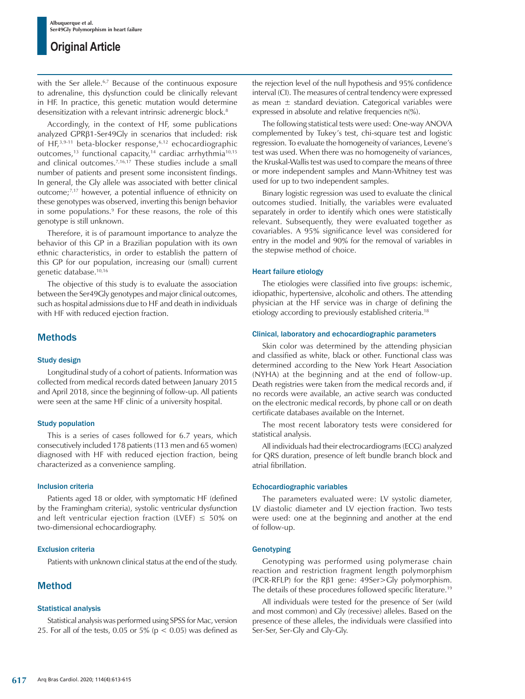with the Ser allele.<sup>6,7</sup> Because of the continuous exposure to adrenaline, this dysfunction could be clinically relevant in HF. In practice, this genetic mutation would determine desensitization with a relevant intrinsic adrenergic block.<sup>8</sup>

Accordingly, in the context of HF, some publications analyzed GPRβ1-Ser49Gly in scenarios that included: risk of HF,3,9-11 beta-blocker response,6,12 echocardiographic outcomes,<sup>13</sup> functional capacity,<sup>14</sup> cardiac arrhythmia<sup>10,15</sup> and clinical outcomes.<sup>7,16,17</sup> These studies include a small number of patients and present some inconsistent findings. In general, the Gly allele was associated with better clinical outcome;7,17 however, a potential influence of ethnicity on these genotypes was observed, inverting this benign behavior in some populations.<sup>9</sup> For these reasons, the role of this genotype is still unknown.

Therefore, it is of paramount importance to analyze the behavior of this GP in a Brazilian population with its own ethnic characteristics, in order to establish the pattern of this GP for our population, increasing our (small) current genetic database.10,16

The objective of this study is to evaluate the association between the Ser49Gly genotypes and major clinical outcomes, such as hospital admissions due to HF and death in individuals with HF with reduced ejection fraction.

## Methods

#### Study design

Longitudinal study of a cohort of patients. Information was collected from medical records dated between January 2015 and April 2018, since the beginning of follow-up. All patients were seen at the same HF clinic of a university hospital.

#### Study population

This is a series of cases followed for 6.7 years, which consecutively included 178 patients (113 men and 65 women) diagnosed with HF with reduced ejection fraction, being characterized as a convenience sampling.

#### Inclusion criteria

Patients aged 18 or older, with symptomatic HF (defined by the Framingham criteria), systolic ventricular dysfunction and left ventricular ejection fraction (LVEF)  $\leq 50\%$  on two-dimensional echocardiography.

#### Exclusion criteria

Patients with unknown clinical status at the end of the study.

## Method

#### Statistical analysis

Statistical analysis was performed using SPSS for Mac, version 25. For all of the tests, 0.05 or 5% ( $p < 0.05$ ) was defined as the rejection level of the null hypothesis and 95% confidence interval (CI). The measures of central tendency were expressed as mean  $\pm$  standard deviation. Categorical variables were expressed in absolute and relative frequencies n(%).

The following statistical tests were used: One-way ANOVA complemented by Tukey's test, chi-square test and logistic regression. To evaluate the homogeneity of variances, Levene's test was used. When there was no homogeneity of variances, the Kruskal-Wallis test was used to compare the means of three or more independent samples and Mann-Whitney test was used for up to two independent samples.

Binary logistic regression was used to evaluate the clinical outcomes studied. Initially, the variables were evaluated separately in order to identify which ones were statistically relevant. Subsequently, they were evaluated together as covariables. A 95% significance level was considered for entry in the model and 90% for the removal of variables in the stepwise method of choice.

#### Heart failure etiology

The etiologies were classified into five groups: ischemic, idiopathic, hypertensive, alcoholic and others. The attending physician at the HF service was in charge of defining the etiology according to previously established criteria.18

#### Clinical, laboratory and echocardiographic parameters

Skin color was determined by the attending physician and classified as white, black or other. Functional class was determined according to the New York Heart Association (NYHA) at the beginning and at the end of follow-up. Death registries were taken from the medical records and, if no records were available, an active search was conducted on the electronic medical records, by phone call or on death certificate databases available on the Internet.

The most recent laboratory tests were considered for statistical analysis.

All individuals had their electrocardiograms (ECG) analyzed for QRS duration, presence of left bundle branch block and atrial fibrillation.

#### Echocardiographic variables

The parameters evaluated were: LV systolic diameter, LV diastolic diameter and LV ejection fraction. Two tests were used: one at the beginning and another at the end of follow-up.

#### **Genotyping**

Genotyping was performed using polymerase chain reaction and restriction fragment length polymorphism (PCR-RFLP) for the Rβ1 gene: 49Ser>Gly polymorphism. The details of these procedures followed specific literature.19

All individuals were tested for the presence of Ser (wild and most common) and Gly (recessive) alleles. Based on the presence of these alleles, the individuals were classified into Ser-Ser, Ser-Gly and Gly-Gly.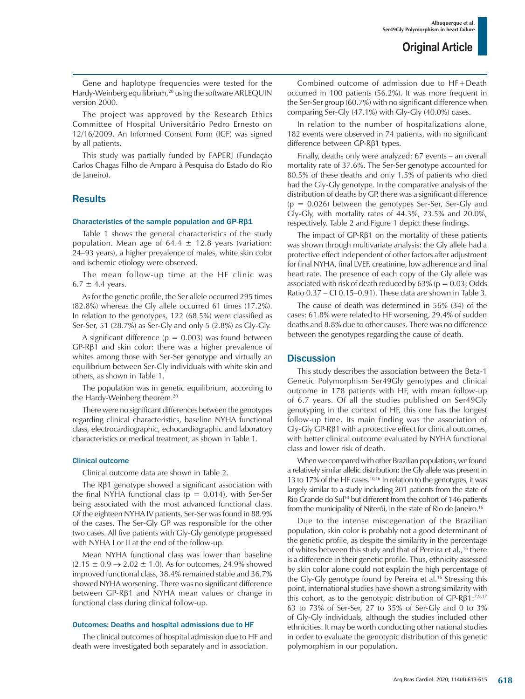Gene and haplotype frequencies were tested for the Hardy-Weinberg equilibrium,<sup>20</sup> using the software ARLEQUIN version 2000.

The project was approved by the Research Ethics Committee of Hospital Universitário Pedro Ernesto on 12/16/2009. An Informed Consent Form (ICF) was signed by all patients.

This study was partially funded by FAPERJ (Fundação Carlos Chagas Filho de Amparo à Pesquisa do Estado do Rio de Janeiro).

## **Results**

#### Characteristics of the sample population and GP-Rβ1

Table 1 shows the general characteristics of the study population. Mean age of  $64.4 \pm 12.8$  years (variation: 24–93 years), a higher prevalence of males, white skin color and ischemic etiology were observed.

The mean follow-up time at the HF clinic was  $6.7 \pm 4.4$  years.

As for the genetic profile, the Ser allele occurred 295 times (82.8%) whereas the Gly allele occurred 61 times (17.2%). In relation to the genotypes, 122 (68.5%) were classified as Ser-Ser, 51 (28.7%) as Ser-Gly and only 5 (2.8%) as Gly-Gly.

A significant difference ( $p = 0.003$ ) was found between GP-Rβ1 and skin color: there was a higher prevalence of whites among those with Ser-Ser genotype and virtually an equilibrium between Ser-Gly individuals with white skin and others, as shown in Table 1.

The population was in genetic equilibrium, according to the Hardy-Weinberg theorem.<sup>20</sup>

There were no significant differences between the genotypes regarding clinical characteristics, baseline NYHA functional class, electrocardiographic, echocardiographic and laboratory characteristics or medical treatment, as shown in Table 1.

#### Clinical outcome

Clinical outcome data are shown in Table 2.

The Rβ1 genotype showed a significant association with the final NYHA functional class ( $p = 0.014$ ), with Ser-Ser being associated with the most advanced functional class. Of the eighteen NYHA IV patients, Ser-Ser was found in 88.9% of the cases. The Ser-Gly GP was responsible for the other two cases. All five patients with Gly-Gly genotype progressed with NYHA I or II at the end of the follow-up.

Mean NYHA functional class was lower than baseline  $(2.15 \pm 0.9 \rightarrow 2.02 \pm 1.0)$ . As for outcomes, 24.9% showed improved functional class, 38.4% remained stable and 36.7% showed NYHA worsening. There was no significant difference between GP-Rβ1 and NYHA mean values or change in functional class during clinical follow-up.

#### Outcomes: Deaths and hospital admissions due to HF

The clinical outcomes of hospital admission due to HF and death were investigated both separately and in association.

Combined outcome of admission due to HF+Death occurred in 100 patients (56.2%). It was more frequent in the Ser-Ser group (60.7%) with no significant difference when comparing Ser-Gly (47.1%) with Gly-Gly (40.0%) cases.

In relation to the number of hospitalizations alone, 182 events were observed in 74 patients, with no significant difference between GP-Rβ1 types.

Finally, deaths only were analyzed: 67 events – an overall mortality rate of 37.6%. The Ser-Ser genotype accounted for 80.5% of these deaths and only 1.5% of patients who died had the Gly-Gly genotype. In the comparative analysis of the distribution of deaths by GP, there was a significant difference  $(p = 0.026)$  between the genotypes Ser-Ser, Ser-Gly and Gly-Gly, with mortality rates of 44.3%, 23.5% and 20.0%, respectively. Table 2 and Figure 1 depict these findings.

The impact of GP-Rβ1 on the mortality of these patients was shown through multivariate analysis: the Gly allele had a protective effect independent of other factors after adjustment for final NYHA, final LVEF, creatinine, low adherence and final heart rate. The presence of each copy of the Gly allele was associated with risk of death reduced by  $63\%$  ( $p = 0.03$ ; Odds Ratio 0.37 – CI 0.15–0.91). These data are shown in Table 3.

The cause of death was determined in 56% (34) of the cases: 61.8% were related to HF worsening, 29.4% of sudden deaths and 8.8% due to other causes. There was no difference between the genotypes regarding the cause of death.

### **Discussion**

This study describes the association between the Beta-1 Genetic Polymorphism Ser49Gly genotypes and clinical outcome in 178 patients with HF, with mean follow-up of 6.7 years. Of all the studies published on Ser49Gly genotyping in the context of HF, this one has the longest follow-up time. Its main finding was the association of Gly-Gly GP-Rβ1 with a protective effect for clinical outcomes, with better clinical outcome evaluated by NYHA functional class and lower risk of death.

When we compared with other Brazilian populations, we found a relatively similar allelic distribution: the Gly allele was present in 13 to 17% of the HF cases.10,16 In relation to the genotypes, it was largely similar to a study including 201 patients from the state of Rio Grande do Sul<sup>10</sup> but different from the cohort of 146 patients from the municipality of Niterói, in the state of Rio de Janeiro.16

Due to the intense miscegenation of the Brazilian population, skin color is probably not a good determinant of the genetic profile, as despite the similarity in the percentage of whites between this study and that of Pereira et al.,<sup>16</sup> there is a difference in their genetic profile. Thus, ethnicity assessed by skin color alone could not explain the high percentage of the Gly-Gly genotype found by Pereira et al.16 Stressing this point, international studies have shown a strong similarity with this cohort, as to the genotypic distribution of GP-Rβ1:<sup>7,9,17</sup> 63 to 73% of Ser-Ser, 27 to 35% of Ser-Gly and 0 to 3% of Gly-Gly individuals, although the studies included other ethnicities. It may be worth conducting other national studies in order to evaluate the genotypic distribution of this genetic polymorphism in our population.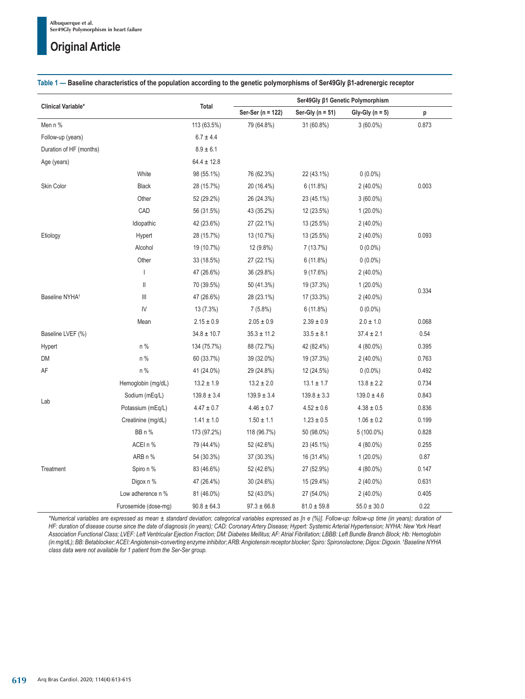|                            |                      | <b>Total</b>    | Ser49Gly β1 Genetic Polymorphism |                      |                   |       |
|----------------------------|----------------------|-----------------|----------------------------------|----------------------|-------------------|-------|
| Clinical Variable*         |                      |                 | Ser-Ser (n = 122)                | Ser-Gly ( $n = 51$ ) | Gly-Gly $(n = 5)$ | p     |
| Men n %                    |                      | 113 (63.5%)     | 79 (64.8%)                       | 31 (60.8%)           | $3(60.0\%)$       | 0.873 |
| Follow-up (years)          |                      | $6.7 \pm 4.4$   |                                  |                      |                   |       |
| Duration of HF (months)    |                      | $8.9\pm6.1$     |                                  |                      |                   |       |
| Age (years)                |                      | $64.4 \pm 12.8$ |                                  |                      |                   |       |
|                            | White                | 98 (55.1%)      | 76 (62.3%)                       | 22 (43.1%)           | $0(0.0\%)$        |       |
| Skin Color                 | <b>Black</b>         | 28 (15.7%)      | 20 (16.4%)                       | 6(11.8%)             | $2(40.0\%)$       | 0.003 |
|                            | Other                | 52 (29.2%)      | 26 (24.3%)                       | 23 (45.1%)           | $3(60.0\%)$       |       |
|                            | CAD                  | 56 (31.5%)      | 43 (35.2%)                       | 12 (23.5%)           | $1(20.0\%)$       |       |
|                            | Idiopathic           | 42 (23.6%)      | 27 (22.1%)                       | 13 (25.5%)           | 2 (40.0%)         |       |
| Etiology                   | Hypert               | 28 (15.7%)      | 13 (10.7%)                       | 13 (25.5%)           | 2 (40.0%)         | 0.093 |
|                            | Alcohol              | 19 (10.7%)      | 12 (9.8%)                        | 7 (13.7%)            | $0(0.0\%)$        |       |
|                            | Other                | 33 (18.5%)      | 27 (22.1%)                       | 6(11.8%)             | $0(0.0\%)$        |       |
|                            | I                    | 47 (26.6%)      | 36 (29.8%)                       | 9(17.6%)             | 2 (40.0%)         |       |
|                            | $\mathsf{I}$         | 70 (39.5%)      | 50 (41.3%)                       | 19 (37.3%)           | $1(20.0\%)$       |       |
| Baseline NYHA <sup>t</sup> | Ш                    | 47 (26.6%)      | 28 (23.1%)                       | 17 (33.3%)           | $2(40.0\%)$       | 0.334 |
|                            | IV                   | 13 (7.3%)       | 7(5.8%)                          | 6(11.8%)             | $0(0.0\%)$        |       |
|                            | Mean                 | $2.15 \pm 0.9$  | $2.05 \pm 0.9$                   | $2.39 \pm 0.9$       | $2.0 \pm 1.0$     | 0.068 |
| Baseline LVEF (%)          |                      | $34.8 \pm 10.7$ | $35.3 \pm 11.2$                  | $33.5 \pm 8.1$       | $37.4 \pm 2.1$    | 0.54  |
| Hypert                     | n %                  | 134 (75.7%)     | 88 (72.7%)                       | 42 (82.4%)           | 4 (80.0%)         | 0.395 |
| DM                         | n %                  | 60 (33.7%)      | 39 (32.0%)                       | 19 (37.3%)           | $2(40.0\%)$       | 0.763 |
| AF                         | n %                  | 41 (24.0%)      | 29 (24.8%)                       | 12 (24.5%)           | $0(0.0\%)$        | 0.492 |
| Lab                        | Hemoglobin (mg/dL)   | $13.2 \pm 1.9$  | $13.2 \pm 2.0$                   | $13.1 \pm 1.7$       | $13.8 \pm 2.2$    | 0.734 |
|                            | Sodium (mEq/L)       | $139.8 \pm 3.4$ | $139.9 \pm 3.4$                  | $139.8 \pm 3.3$      | $139.0 \pm 4.6$   | 0.843 |
|                            | Potassium (mEq/L)    | $4.47 \pm 0.7$  | $4.46 \pm 0.7$                   | $4.52 \pm 0.6$       | $4.38 \pm 0.5$    | 0.836 |
|                            | Creatinine (mg/dL)   | $1.41 \pm 1.0$  | $1.50 \pm 1.1$                   | $1.23 \pm 0.5$       | $1.06 \pm 0.2$    | 0.199 |
| Treatment                  | BB n %               | 173 (97.2%)     | 118 (96.7%)                      | 50 (98.0%)           | 5 (100.0%)        | 0.828 |
|                            | ACEI n %             | 79 (44.4%)      | 52 (42.6%)                       | 23 (45.1%)           | $4(80.0\%)$       | 0.255 |
|                            | ARB n %              | 54 (30.3%)      | 37 (30.3%)                       | 16 (31.4%)           | $1(20.0\%)$       | 0.87  |
|                            | Spiro n %            | 83 (46.6%)      | 52 (42.6%)                       | 27 (52.9%)           | 4 (80.0%)         | 0.147 |
|                            | Digox n %            | 47 (26.4%)      | 30 (24.6%)                       | 15 (29.4%)           | $2(40.0\%)$       | 0.631 |
|                            | Low adherence n %    | 81 (46.0%)      | 52 (43.0%)                       | 27 (54.0%)           | $2(40.0\%)$       | 0.405 |
|                            | Furosemide (dose-mg) | $90.8 \pm 64.3$ | $97.3 \pm 66.8$                  | $81.0 \pm 59.8$      | $55.0 \pm 30.0$   | 0.22  |

#### **Table 1 — Baseline characteristics of the population according to the genetic polymorphisms of Ser49Gly β1-adrenergic receptor**

*\*Numerical variables are expressed as mean ± standard deviation; categorical variables expressed as [n e (%)]. Follow-up: follow-up time (in years); duration of HF: duration of disease course since the date of diagnosis (in years); CAD: Coronary Artery Disease; Hypert: Systemic Arterial Hypertension; NYHA: New York Heart Association Functional Class; LVEF: Left Ventricular Ejection Fraction; DM: Diabetes Mellitus; AF: Atrial Fibrillation; LBBB: Left Bundle Branch Block; Hb: Hemoglobin (in mg/dL); BB: Betablocker; ACEI: Angiotensin-converting enzyme inhibitor; ARB: Angiotensin receptor blocker; Spiro: Spironolactone; Digox: Digoxin. † Baseline NYHA class data were not available for 1 patient from the Ser-Ser group.*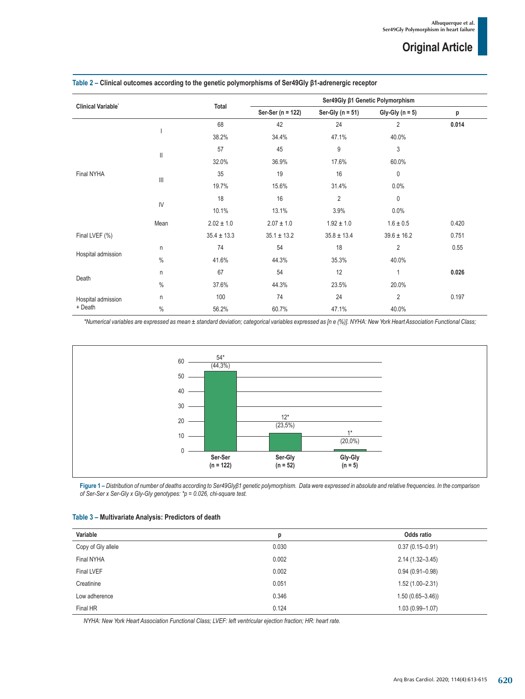|                               |                |                 | Ser49Gly β1 Genetic Polymorphism |                      |                   |       |
|-------------------------------|----------------|-----------------|----------------------------------|----------------------|-------------------|-------|
| <b>Clinical Variable'</b>     |                | Total           | Ser-Ser (n = 122)                | Ser-Gly ( $n = 51$ ) | Gly-Gly $(n = 5)$ | p     |
| Final NYHA                    |                | 68              | 42                               | 24                   | $\overline{2}$    | 0.014 |
|                               |                | 38.2%           | 34.4%                            | 47.1%                | 40.0%             |       |
|                               |                | 57              | 45                               | 9                    | 3                 |       |
|                               | Ш              | 32.0%           | 36.9%                            | 17.6%                | 60.0%             |       |
|                               |                | 35              | 19                               | 16                   | $\mathbf{0}$      |       |
|                               | $\mathbf{III}$ | 19.7%           | 15.6%                            | 31.4%                | 0.0%              |       |
|                               | $\mathsf{IV}$  | 18              | 16                               | $\overline{2}$       | $\mathbf{0}$      |       |
|                               |                | 10.1%           | 13.1%                            | 3.9%                 | 0.0%              |       |
|                               | Mean           | $2.02 \pm 1.0$  | $2.07 \pm 1.0$                   | $1.92 \pm 1.0$       | $1.6 \pm 0.5$     | 0.420 |
| Final LVEF (%)                |                | $35.4 \pm 13.3$ | $35.1 \pm 13.2$                  | $35.8 \pm 13.4$      | $39.6 \pm 16.2$   | 0.751 |
|                               | n              | 74              | 54                               | 18                   | $\overline{2}$    | 0.55  |
| Hospital admission            | $\%$           | 41.6%           | 44.3%                            | 35.3%                | 40.0%             |       |
| Death                         | n              | 67              | 54                               | 12                   | $\mathbf{1}$      | 0.026 |
|                               | $\%$           | 37.6%           | 44.3%                            | 23.5%                | 20.0%             |       |
| Hospital admission<br>+ Death | n              | 100             | 74                               | 24                   | $\overline{2}$    | 0.197 |
|                               | $\%$           | 56.2%           | 60.7%                            | 47.1%                | 40.0%             |       |

#### **Table 2 – Clinical outcomes according to the genetic polymorphisms of Ser49Gly β1-adrenergic receptor**

*\*Numerical variables are expressed as mean ± standard deviation; categorical variables expressed as [n e (%)]. NYHA: New York Heart Association Functional Class;*



**Figure 1 –** *Distribution of number of deaths according to Ser49Glyβ1 genetic polymorphism. Data were expressed in absolute and relative frequencies. In the comparison of Ser-Ser x Ser-Gly x Gly-Gly genotypes: \*p = 0.026, chi-square test.*

| Table 3 - Multivariate Analysis: Predictors of death |  |  |
|------------------------------------------------------|--|--|
|------------------------------------------------------|--|--|

| Variable           | р     | Odds ratio          |
|--------------------|-------|---------------------|
| Copy of Gly allele | 0.030 | $0.37(0.15 - 0.91)$ |
| Final NYHA         | 0.002 | $2.14(1.32 - 3.45)$ |
| <b>Final LVEF</b>  | 0.002 | $0.94(0.91 - 0.98)$ |
| Creatinine         | 0.051 | $1.52(1.00 - 2.31)$ |
| Low adherence      | 0.346 | $1.50(0.65 - 3.46)$ |
| Final HR           | 0.124 | $1.03(0.99 - 1.07)$ |

*NYHA: New York Heart Association Functional Class; LVEF: left ventricular ejection fraction; HR: heart rate.*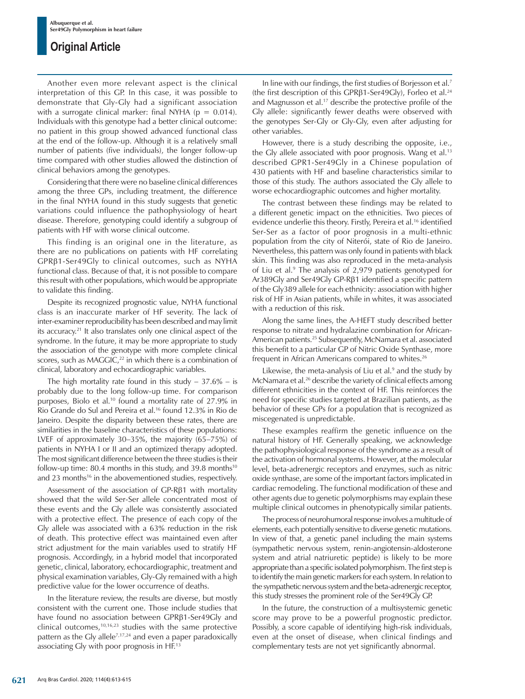Another even more relevant aspect is the clinical interpretation of this GP. In this case, it was possible to demonstrate that Gly-Gly had a significant association with a surrogate clinical marker: final NYHA ( $p = 0.014$ ). Individuals with this genotype had a better clinical outcome: no patient in this group showed advanced functional class at the end of the follow-up. Although it is a relatively small number of patients (five individuals), the longer follow-up time compared with other studies allowed the distinction of clinical behaviors among the genotypes.

Considering that there were no baseline clinical differences among the three GPs, including treatment, the difference in the final NYHA found in this study suggests that genetic variations could influence the pathophysiology of heart disease. Therefore, genotyping could identify a subgroup of patients with HF with worse clinical outcome.

This finding is an original one in the literature, as there are no publications on patients with HF correlating GPRβ1-Ser49Gly to clinical outcomes, such as NYHA functional class. Because of that, it is not possible to compare this result with other populations, which would be appropriate to validate this finding.

Despite its recognized prognostic value, NYHA functional class is an inaccurate marker of HF severity. The lack of inter-examiner reproducibility has been described and may limit its accuracy.21 It also translates only one clinical aspect of the syndrome. In the future, it may be more appropriate to study the association of the genotype with more complete clinical scores, such as  $MAGGIC<sub>22</sub>$  in which there is a combination of clinical, laboratory and echocardiographic variables.

The high mortality rate found in this study  $-37.6\%$  – is probably due to the long follow-up time. For comparison purposes, Biolo et al.<sup>10</sup> found a mortality rate of 27.9% in Rio Grande do Sul and Pereira et al.16 found 12.3% in Rio de Janeiro. Despite the disparity between these rates, there are similarities in the baseline characteristics of these populations: LVEF of approximately 30–35%, the majority (65–75%) of patients in NYHA I or II and an optimized therapy adopted. The most significant difference between the three studies is their follow-up time: 80.4 months in this study, and 39.8 months<sup>10</sup> and 23 months<sup>16</sup> in the abovementioned studies, respectively.

Assessment of the association of GP-Rβ1 with mortality showed that the wild Ser-Ser allele concentrated most of these events and the Gly allele was consistently associated with a protective effect. The presence of each copy of the Gly allele was associated with a 63% reduction in the risk of death. This protective effect was maintained even after strict adjustment for the main variables used to stratify HF prognosis. Accordingly, in a hybrid model that incorporated genetic, clinical, laboratory, echocardiographic, treatment and physical examination variables, Gly-Gly remained with a high predictive value for the lower occurrence of deaths.

In the literature review, the results are diverse, but mostly consistent with the current one. Those include studies that have found no association between GPRβ1-Ser49Gly and clinical outcomes,10,16,23 studies with the same protective pattern as the Gly allele<sup>7,17,24</sup> and even a paper paradoxically associating Gly with poor prognosis in HF.13

In line with our findings, the first studies of Borjesson et al.7 (the first description of this GPRβ1-Ser49Gly), Forleo et al.24 and Magnusson et al.17 describe the protective profile of the Gly allele: significantly fewer deaths were observed with the genotypes Ser-Gly or Gly-Gly, even after adjusting for other variables.

However, there is a study describing the opposite, i.e., the Gly allele associated with poor prognosis. Wang et al.<sup>13</sup> described GPR1-Ser49Gly in a Chinese population of 430 patients with HF and baseline characteristics similar to those of this study. The authors associated the Gly allele to worse echocardiographic outcomes and higher mortality.

The contrast between these findings may be related to a different genetic impact on the ethnicities. Two pieces of evidence underlie this theory. Firstly, Pereira et al.16 identified Ser-Ser as a factor of poor prognosis in a multi-ethnic population from the city of Niterói, state of Rio de Janeiro. Nevertheless, this pattern was only found in patients with black skin. This finding was also reproduced in the meta-analysis of Liu et al.<sup>9</sup> The analysis of 2,979 patients genotyped for Ar389Gly and Ser49Gly GP-Rβ1 identified a specific pattern of the Gly389 allele for each ethnicity: association with higher risk of HF in Asian patients, while in whites, it was associated with a reduction of this risk.

Along the same lines, the A-HEFT study described better response to nitrate and hydralazine combination for African-American patients.<sup>25</sup> Subsequently, McNamara et al. associated this benefit to a particular GP of Nitric Oxide Synthase, more frequent in African Americans compared to whites.<sup>26</sup>

Likewise, the meta-analysis of Liu et al. $9$  and the study by McNamara et al.26 describe the variety of clinical effects among different ethnicities in the context of HF. This reinforces the need for specific studies targeted at Brazilian patients, as the behavior of these GPs for a population that is recognized as miscegenated is unpredictable.

These examples reaffirm the genetic influence on the natural history of HF. Generally speaking, we acknowledge the pathophysiological response of the syndrome as a result of the activation of hormonal systems. However, at the molecular level, beta-adrenergic receptors and enzymes, such as nitric oxide synthase, are some of the important factors implicated in cardiac remodeling. The functional modification of these and other agents due to genetic polymorphisms may explain these multiple clinical outcomes in phenotypically similar patients.

The process of neurohumoral response involves a multitude of elements, each potentially sensitive to diverse genetic mutations. In view of that, a genetic panel including the main systems (sympathetic nervous system, renin-angiotensin-aldosterone system and atrial natriuretic peptide) is likely to be more appropriate than a specific isolated polymorphism. The first step is to identify the main genetic markers for each system. In relation to the sympathetic nervous system and the beta-adrenergic receptor, this study stresses the prominent role of the Ser49Gly GP.

In the future, the construction of a multisystemic genetic score may prove to be a powerful prognostic predictor. Possibly, a score capable of identifying high-risk individuals, even at the onset of disease, when clinical findings and complementary tests are not yet significantly abnormal.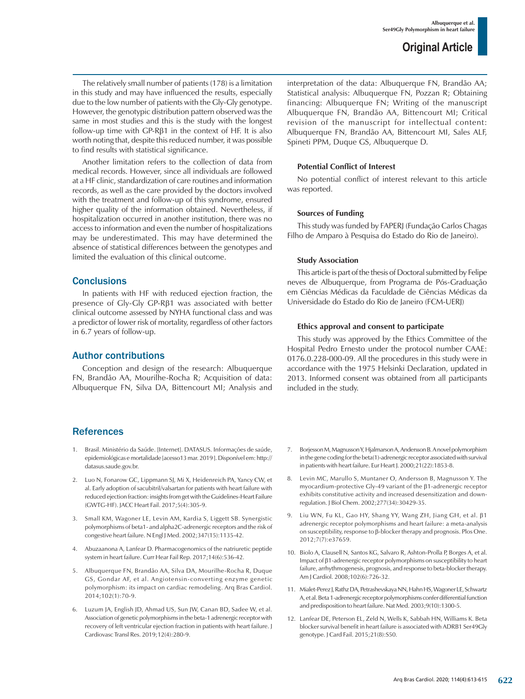The relatively small number of patients (178) is a limitation in this study and may have influenced the results, especially due to the low number of patients with the Gly-Gly genotype. However, the genotypic distribution pattern observed was the same in most studies and this is the study with the longest follow-up time with GP-Rβ1 in the context of HF. It is also worth noting that, despite this reduced number, it was possible to find results with statistical significance.

Another limitation refers to the collection of data from medical records. However, since all individuals are followed at a HF clinic, standardization of care routines and information records, as well as the care provided by the doctors involved with the treatment and follow-up of this syndrome, ensured higher quality of the information obtained. Nevertheless, if hospitalization occurred in another institution, there was no access to information and even the number of hospitalizations may be underestimated. This may have determined the absence of statistical differences between the genotypes and limited the evaluation of this clinical outcome.

### **Conclusions**

In patients with HF with reduced ejection fraction, the presence of Gly-Gly GP-Rβ1 was associated with better clinical outcome assessed by NYHA functional class and was a predictor of lower risk of mortality, regardless of other factors in 6.7 years of follow-up.

### Author contributions

Conception and design of the research: Albuquerque FN, Brandão AA, Mourilhe-Rocha R; Acquisition of data: Albuquerque FN, Silva DA, Bittencourt MI; Analysis and

## References

- 1. Brasil. Ministério da Saúde. [Internet]. DATASUS. Informações de saúde, epidemiológicas e mortalidade [acesso13 mar. 2019 ]. Disponível em: http:// datasus.saude.gov.br.
- 2. Luo N, Fonarow GC, Lippmann SJ, Mi X, Heidenreich PA, Yancy CW, et al. Early adoption of sacubitril/valsartan for patients with heart failure with reduced ejection fraction: insights from get with the Guidelines-Heart Failure (GWTG-HF). JACC Heart Fail. 2017;5(4):305-9.
- 3. Small KM, Wagoner LE, Levin AM, Kardia S, Liggett SB. Synergistic polymorphisms of beta1- and alpha2C-adrenergic receptors and the risk of congestive heart failure. N Engl J Med. 2002;347(15):1135-42.
- 4. Abuzaanona A, Lanfear D. Pharmacogenomics of the natriuretic peptide system in heart failure. Curr Hear Fail Rep. 2017;14(6):536-42.
- 5. Albuquerque FN, Brandão AA, Silva DA, Mourilhe-Rocha R, Duque GS, Gondar AF, et al. Angiotensin-converting enzyme genetic polymorphism: its impact on cardiac remodeling. Arq Bras Cardiol. 2014;102(1):70-9.
- 6. Luzum JA, English JD, Ahmad US, Sun JW, Canan BD, Sadee W, et al. Association of genetic polymorphisms in the beta-1 adrenergic receptor with recovery of left ventricular ejection fraction in patients with heart failure. J Cardiovasc Transl Res. 2019;12(4):280-9.

interpretation of the data: Albuquerque FN, Brandão AA; Statistical analysis: Albuquerque FN, Pozzan R; Obtaining financing: Albuquerque FN; Writing of the manuscript Albuquerque FN, Brandão AA, Bittencourt MI; Critical revision of the manuscript for intellectual content: Albuquerque FN, Brandão AA, Bittencourt MI, Sales ALF, Spineti PPM, Duque GS, Albuquerque D.

#### **Potential Conflict of Interest**

No potential conflict of interest relevant to this article was reported.

#### **Sources of Funding**

This study was funded by FAPERJ (Fundação Carlos Chagas Filho de Amparo à Pesquisa do Estado do Rio de Janeiro).

#### **Study Association**

This article is part of the thesis of Doctoral submitted by Felipe neves de Albuquerque, from Programa de Pós-Graduação em Ciências Médicas da Faculdade de Ciências Médicas da Universidade do Estado do Rio de Janeiro (FCM-UERJ)

#### **Ethics approval and consent to participate**

This study was approved by the Ethics Committee of the Hospital Pedro Ernesto under the protocol number CAAE: 0176.0.228-000-09. All the procedures in this study were in accordance with the 1975 Helsinki Declaration, updated in 2013. Informed consent was obtained from all participants included in the study.

- 7. Borjesson M, Magnusson Y, Hjalmarson A, Andersson B. A novel polymorphism in the gene coding for the beta(1)-adrenergic receptor associated with survival in patients with heart failure. Eur Heart J. 2000;21(22):1853-8.
- 8. Levin MC, Marullo S, Muntaner O, Andersson B, Magnusson Y. The myocardium-protective Gly-49 variant of the β1-adrenergic receptor exhibits constitutive activity and increased desensitization and downregulation. J Biol Chem. 2002;277(34):30429-35.
- 9. Liu WN, Fu KL, Gao HY, Shang YY, Wang ZH, Jiang GH, et al. β1 adrenergic receptor polymorphisms and heart failure: a meta-analysis on susceptibility, response to β-blocker therapy and prognosis. Plos One. 2012;7(7):e37659.
- 10. Biolo A, Clausell N, Santos KG, Salvaro R, Ashton-Prolla P, Borges A, et al. Impact of β1-adrenergic receptor polymorphisms on susceptibility to heart failure, arrhythmogenesis, prognosis, and response to beta-blocker therapy. Am J Cardiol. 2008;102(6):726-32.
- 11. Mialet-Perez J, Rathz DA, Petrashevskaya NN, Hahn HS, Wagoner LE, Schwartz A, et al. Beta 1-adrenergic receptor polymorphisms confer differential function and predisposition to heart failure. Nat Med. 2003;9(10):1300-5.
- 12. Lanfear DE, Peterson EL, Zeld N, Wells K, Sabbah HN, Williams K. Beta blocker survival benefit in heart failure is associated with ADRB1 Ser49Gly genotype. J Card Fail. 2015;21(8):S50.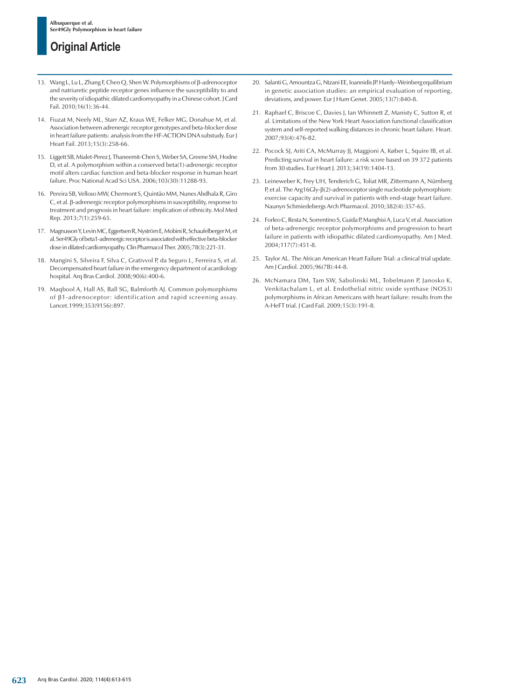- 13. Wang L, Lu L, Zhang F, Chen Q, Shen W. Polymorphisms of β-adrenoceptor and natriuretic peptide receptor genes influence the susceptibility to and the severity of idiopathic dilated cardiomyopathy in a Chinese cohort. J Card Fail. 2010;16(1):36-44.
- 14. Fiuzat M, Neely ML, Starr AZ, Kraus WE, Felker MG, Donahue M, et al. Association between adrenergic receptor genotypes and beta-blocker dose in heart failure patients: analysis from the HF-ACTION DNA substudy. Eur J Heart Fail. 2013;15(3):258-66.
- 15. Liggett SB, Mialet-Perez J, Thaneemit-Chen S, Weber SA, Greene SM, Hodne D, et al. A polymorphism within a conserved beta(1)-adrenergic receptor motif alters cardiac function and beta-blocker response in human heart failure. Proc National Acad Sci USA. 2006;103(30):11288-93.
- 16. Pereira SB, Velloso MW, Chermont S, Quintão MM, Nunes Abdhala R, Giro C, et al. β-adrenergic receptor polymorphisms in susceptibility, response to treatment and prognosis in heart failure: implication of ethnicity. Mol Med Rep. 2013;7(1):259-65.
- 17. Magnusson Y, Levin MC, Eggertsen R, Nyström E, Mobini R, Schaufelberger M, et al. Ser49Gly of beta1-adrenergic receptor is associated with effective beta-blocker dose in dilated cardiomyopathy. Clin Pharmacol Ther. 2005;78(3):221-31.
- 18. Mangini S, Silveira F, Silva C, Grativvol P, da Seguro L, Ferreira S, et al. Decompensated heart failure in the emergency department of acardiology hospital. Arq Bras Cardiol. 2008;90(6):400-6.
- 19. Maqbool A, Hall AS, Ball SG, Balmforth AJ. Common polymorphisms of β1-adrenoceptor: identification and rapid screening assay. Lancet.1999;353(9156):897.
- 20. Salanti G, Amountza G, Ntzani EE, Ioannidis JP. Hardy–Weinberg equilibrium in genetic association studies: an empirical evaluation of reporting, deviations, and power. Eur J Hum Genet. 2005;13(7):840-8.
- 21. Raphael C, Briscoe C, Davies J, Ian Whinnett Z, Manisty C, Sutton R, et al. Limitations of the New York Heart Association functional classification system and self-reported walking distances in chronic heart failure. Heart. 2007;93(4):476-82.
- 22. Pocock SJ, Ariti CA, McMurray JJ, Maggioni A, Køber L, Squire IB, et al. Predicting survival in heart failure: a risk score based on 39 372 patients from 30 studies. Eur Heart J. 2013;34(19):1404-13.
- 23. Leineweber K, Frey UH, Tenderich G, Toliat MR, Zittermann A, Nürnberg P, et al. The Arg16Gly-β(2)-adrenoceptor single nucleotide polymorphism: exercise capacity and survival in patients with end-stage heart failure. Naunyn Schmiedebergs Arch Pharmacol. 2010;382(4):357-65.
- 24. Forleo C, Resta N, Sorrentino S, Guida P, Manghisi A, Luca V, et al. Association of beta-adrenergic receptor polymorphisms and progression to heart failure in patients with idiopathic dilated cardiomyopathy. Am J Med. 2004;117(7):451-8.
- 25. Taylor AL. The African American Heart Failure Trial: a clinical trial update. Am J Cardiol. 2005;96(7B):44-8.
- 26. McNamara DM, Tam SW, Sabolinski ML, Tobelmann P, Janosko K, Venkitachalam L, et al. Endothelial nitric oxide synthase (NOS3) polymorphisms in African Americans with heart failure: results from the A-HeFT trial. J Card Fail. 2009;15(3):191-8.